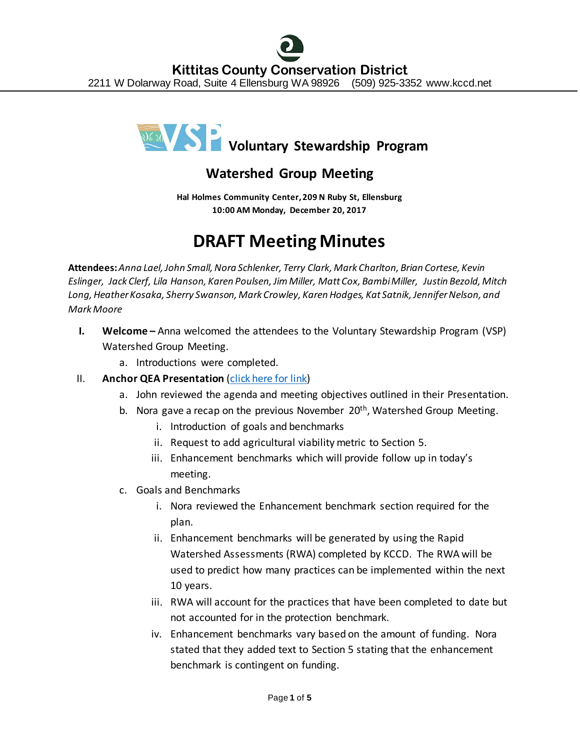

## **Watershed Group Meeting**

**Hal Holmes Community Center, 209 N Ruby St, Ellensburg 10:00 AM Monday, December 20, 2017**

## **DRAFT Meeting Minutes**

**Attendees:** *Anna Lael,John Small,Nora Schlenker, Terry Clark, Mark Charlton, Brian Cortese, Kevin Eslinger, Jack Clerf, Lila Hanson, Karen Poulsen, Jim Miller, Matt Cox, Bambi Miller, Justin Bezold, Mitch Long,Heather Kosaka, Sherry Swanson, Mark Crowley, Karen Hodges, Kat Satnik, Jennifer Nelson, and Mark Moore*

- **I. Welcome –** Anna welcomed the attendees to the Voluntary Stewardship Program (VSP) Watershed Group Meeting.
	- a. Introductions were completed.
- II. **Anchor QEA Presentation** [\(click here for link\)](http://www.kccd.net/VoluntaryStewardship/2017_1218_KittitasVSP_Presentation.pdf)
	- a. John reviewed the agenda and meeting objectives outlined in their Presentation.
	- b. Nora gave a recap on the previous November  $20<sup>th</sup>$ , Watershed Group Meeting.
		- i. Introduction of goals and benchmarks
		- ii. Request to add agricultural viability metric to Section 5.
		- iii. Enhancement benchmarks which will provide follow up in today's meeting.
	- c. Goals and Benchmarks
		- i. Nora reviewed the Enhancement benchmark section required for the plan.
		- ii. Enhancement benchmarks will be generated by using the Rapid Watershed Assessments (RWA) completed by KCCD. The RWA will be used to predict how many practices can be implemented within the next 10 years.
		- iii. RWA will account for the practices that have been completed to date but not accounted for in the protection benchmark.
		- iv. Enhancement benchmarks vary based on the amount of funding. Nora stated that they added text to Section 5 stating that the enhancement benchmark is contingent on funding.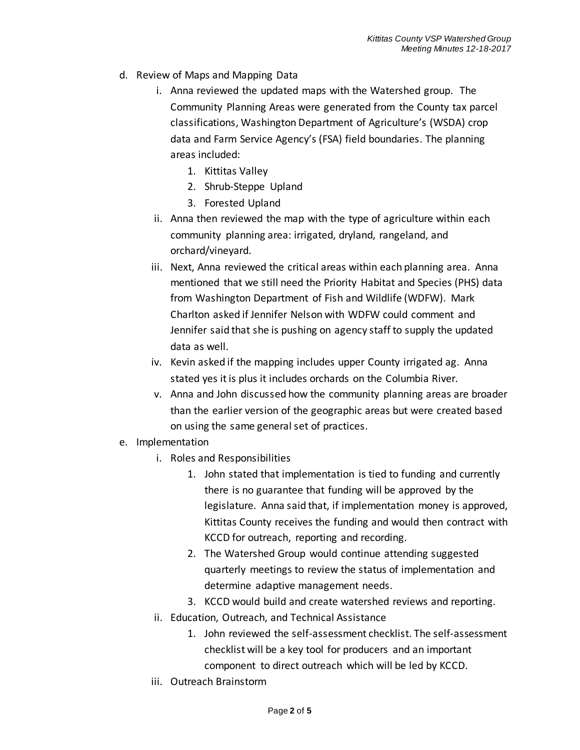- d. Review of Maps and Mapping Data
	- i. Anna reviewed the updated maps with the Watershed group. The Community Planning Areas were generated from the County tax parcel classifications, Washington Department of Agriculture's (WSDA) crop data and Farm Service Agency's (FSA) field boundaries. The planning areas included:
		- 1. Kittitas Valley
		- 2. Shrub-Steppe Upland
		- 3. Forested Upland
	- ii. Anna then reviewed the map with the type of agriculture within each community planning area: irrigated, dryland, rangeland, and orchard/vineyard.
	- iii. Next, Anna reviewed the critical areas within each planning area. Anna mentioned that we still need the Priority Habitat and Species (PHS) data from Washington Department of Fish and Wildlife (WDFW). Mark Charlton asked if Jennifer Nelson with WDFW could comment and Jennifer said that she is pushing on agency staff to supply the updated data as well.
	- iv. Kevin asked if the mapping includes upper County irrigated ag. Anna stated yes it is plus it includes orchards on the Columbia River.
	- v. Anna and John discussed how the community planning areas are broader than the earlier version of the geographic areas but were created based on using the same general set of practices.
- e. Implementation
	- i. Roles and Responsibilities
		- 1. John stated that implementation is tied to funding and currently there is no guarantee that funding will be approved by the legislature. Anna said that, if implementation money is approved, Kittitas County receives the funding and would then contract with KCCD for outreach, reporting and recording.
		- 2. The Watershed Group would continue attending suggested quarterly meetings to review the status of implementation and determine adaptive management needs.
		- 3. KCCD would build and create watershed reviews and reporting.
	- ii. Education, Outreach, and Technical Assistance
		- 1. John reviewed the self-assessment checklist. The self-assessment checklist will be a key tool for producers and an important component to direct outreach which will be led by KCCD.
	- iii. Outreach Brainstorm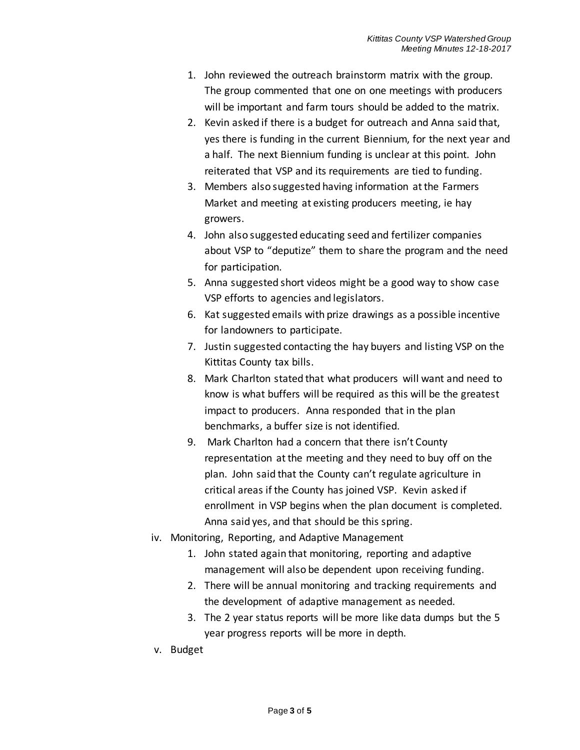- 1. John reviewed the outreach brainstorm matrix with the group. The group commented that one on one meetings with producers will be important and farm tours should be added to the matrix.
- 2. Kevin asked if there is a budget for outreach and Anna said that, yes there is funding in the current Biennium, for the next year and a half. The next Biennium funding is unclear at this point. John reiterated that VSP and its requirements are tied to funding.
- 3. Members also suggested having information at the Farmers Market and meeting at existing producers meeting, ie hay growers.
- 4. John also suggested educating seed and fertilizer companies about VSP to "deputize" them to share the program and the need for participation.
- 5. Anna suggested short videos might be a good way to show case VSP efforts to agencies and legislators.
- 6. Kat suggested emails with prize drawings as a possible incentive for landowners to participate.
- 7. Justin suggested contacting the hay buyers and listing VSP on the Kittitas County tax bills.
- 8. Mark Charlton stated that what producers will want and need to know is what buffers will be required as this will be the greatest impact to producers. Anna responded that in the plan benchmarks, a buffer size is not identified.
- 9. Mark Charlton had a concern that there isn't County representation at the meeting and they need to buy off on the plan. John said that the County can't regulate agriculture in critical areas if the County has joined VSP. Kevin asked if enrollment in VSP begins when the plan document is completed. Anna said yes, and that should be this spring.
- iv. Monitoring, Reporting, and Adaptive Management
	- 1. John stated again that monitoring, reporting and adaptive management will also be dependent upon receiving funding.
	- 2. There will be annual monitoring and tracking requirements and the development of adaptive management as needed.
	- 3. The 2 year status reports will be more like data dumps but the 5 year progress reports will be more in depth.
- v. Budget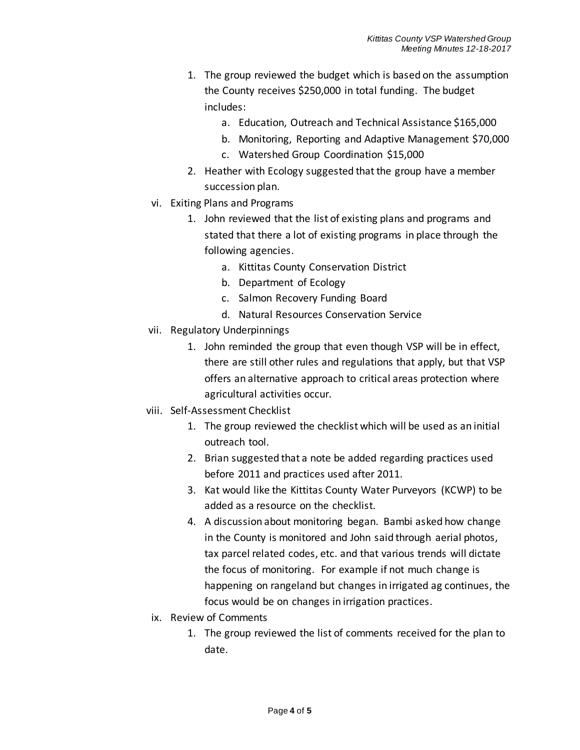- 1. The group reviewed the budget which is based on the assumption the County receives \$250,000 in total funding. The budget includes:
	- a. Education, Outreach and Technical Assistance \$165,000
	- b. Monitoring, Reporting and Adaptive Management \$70,000
	- c. Watershed Group Coordination \$15,000
- 2. Heather with Ecology suggested that the group have a member succession plan.
- vi. Exiting Plans and Programs
	- 1. John reviewed that the list of existing plans and programs and stated that there a lot of existing programs in place through the following agencies.
		- a. Kittitas County Conservation District
		- b. Department of Ecology
		- c. Salmon Recovery Funding Board
		- d. Natural Resources Conservation Service
- vii. Regulatory Underpinnings
	- 1. John reminded the group that even though VSP will be in effect, there are still other rules and regulations that apply, but that VSP offers an alternative approach to critical areas protection where agricultural activities occur.
- viii. Self-Assessment Checklist
	- 1. The group reviewed the checklist which will be used as an initial outreach tool.
	- 2. Brian suggested that a note be added regarding practices used before 2011 and practices used after 2011.
	- 3. Kat would like the Kittitas County Water Purveyors (KCWP) to be added as a resource on the checklist.
	- 4. A discussion about monitoring began. Bambi asked how change in the County is monitored and John said through aerial photos, tax parcel related codes, etc. and that various trends will dictate the focus of monitoring. For example if not much change is happening on rangeland but changes in irrigated ag continues, the focus would be on changes in irrigation practices.
- ix. Review of Comments
	- 1. The group reviewed the list of comments received for the plan to date.